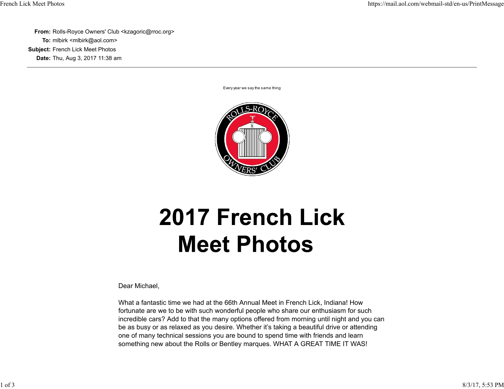**From:** Rolls-Royce Owners' Club <kzagoric@rroc.org> **To:** mlbirk <mlbirk@aol.com> **Subject:** French Lick Meet Photos **Date:** Thu, Aug 3, 2017 11:38 am

Every year we say the same thing



## **2017 French Lick Meet Photos**

Dear Michael,

What a fantastic time we had at the 66th Annual Meet in French Lick, Indiana! How fortunate are we to be with such wonderful people who share our enthusiasm for such incredible cars? Add to that the many options offered from morning until night and you can be as busy or as relaxed as you desire. Whether it's taking a beautiful drive or attending one of many technical sessions you are bound to spend time with friends and learn something new about the Rolls or Bentley marques. WHAT A GREAT TIME IT WAS!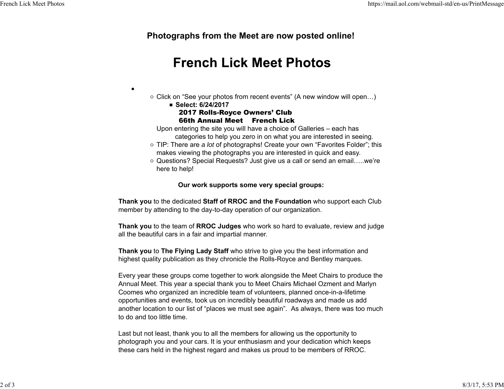**Photographs from the Meet are now posted online!** 

## **French Lick Meet Photos**

- Click on "See your photos from recent events" (A new window will open...)
	- **Select: 6/24/2017** 2017 Rolls-Royce Owners' Club 66th Annual Meet French Lick

 $\bullet$ 

Upon entering the site you will have a choice of Galleries – each has categories to help you zero in on what you are interested in seeing.

TIP: There are *a lot* of photographs! Create your own "Favorites Folder"; this makes viewing the photographs you are interested in quick and easy.

○ Questions? Special Requests? Just give us a call or send an email.....we're here to help!

## **Our work supports some very special groups:**

**Thank you** to the dedicated **Staff of RROC and the Foundation** who support each Club member by attending to the day-to-day operation of our organization.

**Thank you** to the team of **RROC Judges** who work so hard to evaluate, review and judge all the beautiful cars in a fair and impartial manner.

**Thank you** to **The Flying Lady Staff** who strive to give you the best information and highest quality publication as they chronicle the Rolls-Royce and Bentley marques.

Every year these groups come together to work alongside the Meet Chairs to produce the Annual Meet. This year a special thank you to Meet Chairs Michael Ozment and Marlyn Coomes who organized an incredible team of volunteers, planned once-in-a-lifetime opportunities and events, took us on incredibly beautiful roadways and made us add another location to our list of "places we must see again". As always, there was too much to do and too little time.

Last but not least, thank you to all the members for allowing us the opportunity to photograph you and your cars. It is your enthusiasm and your dedication which keeps these cars held in the highest regard and makes us proud to be members of RROC.